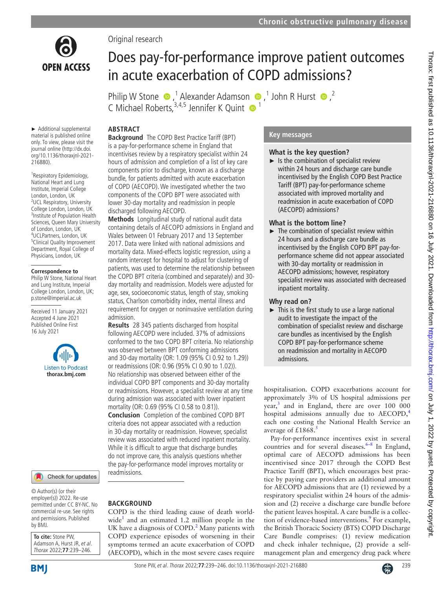

Original research

# Does pay-for-performance improve patient outcomes in acute exacerbation of COPD admissions?

PhilipW Stone  $\bullet$ , <sup>1</sup> Alexander Adamson  $\bullet$ , <sup>1</sup> John R Hurst  $\bullet$ , <sup>2</sup> C Michael Roberts,  $3,4,5$  Jennifer K Quint  $\bullet$ <sup>1</sup>

# **ABSTRACT**

► Additional supplemental material is published online only. To view, please visit the journal online (http://dx.doi. org/10.1136/thoraxjnl-2021- 216880).

<sup>1</sup> Respiratory Epidemiology, National Heart and Lung Institute, Imperial College London, London, UK <sup>2</sup>UCL Respiratory, University College London, London, UK 3 Institute of Population Health Sciences, Queen Mary University of London, London, UK 4 UCLPartners, London, UK 5 Clinical Quality Improvement Department, Royal College of Physicians, London, UK

#### **Correspondence to**

Philip W Stone, National Heart and Lung Institute, Imperial College London, London, UK; p.stone@imperial.ac.uk

Received 11 January 2021 Accepted 4 June 2021 Published Online First 16 July 2021



#### Check for updates

© Author(s) (or their employer(s)) 2022. Re-use permitted under CC BY-NC. No commercial re-use. See rights and permissions. Published by BMJ.

**To cite:** Stone PW, Adamson A, Hurst JR, et al. Thorax 2022;**77**:239–246.

**Background** The COPD Best Practice Tariff (BPT) is a pay-for-performance scheme in England that incentivises review by a respiratory specialist within 24 hours of admission and completion of a list of key care components prior to discharge, known as a discharge bundle, for patients admitted with acute exacerbation of COPD (AECOPD). We investigated whether the two components of the COPD BPT were associated with lower 30-day mortality and readmission in people discharged following AECOPD.

**Methods** Longitudinal study of national audit data containing details of AECOPD admissions in England and Wales between 01 February 2017 and 13 September 2017. Data were linked with national admissions and mortality data. Mixed-effects logistic regression, using a random intercept for hospital to adjust for clustering of patients, was used to determine the relationship between the COPD BPT criteria (combined and separately) and 30 day mortality and readmission. Models were adjusted for age, sex, socioeconomic status, length of stay, smoking status, Charlson comorbidity index, mental illness and requirement for oxygen or noninvasive ventilation during admission.

**Results** 28 345 patients discharged from hospital following AECOPD were included. 37% of admissions conformed to the two COPD BPT criteria. No relationship was observed between BPT conforming admissions and 30-day mortality (OR: 1.09 (95% CI 0.92 to 1.29)) or readmissions (OR: 0.96 (95% CI 0.90 to 1.02)). No relationship was observed between either of the individual COPD BPT components and 30-day mortality or readmissions. However, a specialist review at any time during admission was associated with lower inpatient mortality (OR: 0.69 (95% CI 0.58 to 0.81)). **Conclusion** Completion of the combined COPD BPT criteria does not appear associated with a reduction in 30-day mortality or readmission. However, specialist review was associated with reduced inpatient mortality. While it is difficult to argue that discharge bundles do not improve care, this analysis questions whether the pay-for-performance model improves mortality or readmissions.

# **BACKGROUND**

COPD is the third leading cause of death worldwide<sup>1</sup> and an estimated 1.2 million people in the UK have a diagnosis of COPD. $^2$  Many patients with COPD experience episodes of worsening in their symptoms termed an acute exacerbation of COPD (AECOPD), which in the most severe cases require

# **Key messages**

## **What is the key question?**

 $\blacktriangleright$  Is the combination of specialist review within 24 hours and discharge care bundle incentivised by the English COPD Best Practice Tariff (BPT) pay-for-performance scheme associated with improved mortality and readmission in acute exacerbation of COPD (AECOPD) admissions?

## **What is the bottom line?**

 $\blacktriangleright$  The combination of specialist review within 24 hours and a discharge care bundle as incentivised by the English COPD BPT pay-forperformance scheme did not appear associated with 30-day mortality or readmission in AECOPD admissions; however, respiratory specialist review was associated with decreased inpatient mortality.

# **Why read on?**

 $\blacktriangleright$  This is the first study to use a large national audit to investigate the impact of the combination of specialist review and discharge care bundles as incentivised by the English COPD BPT pay-for-performance scheme on readmission and mortality in AECOPD admissions.

hospitalisation. COPD exacerbations account for approximately 3% of US hospital admissions per year,<sup>[3](#page-6-2)</sup> and in England, there are over 100 000 hospital admissions annually due to AECOPD,<sup>[4](#page-6-3)</sup> each one costing the National Health Service an average of  $£1868$ .<sup>[5](#page-6-4)</sup>

Pay-for-performance incentives exist in several countries and for several diseases. $6-8$  In England, optimal care of AECOPD admissions has been incentivised since 2017 through the COPD Best Practice Tariff (BPT), which encourages best practice by paying care providers an additional amount for AECOPD admissions that are (1) reviewed by a respiratory specialist within 24 hours of the admission and (2) receive a discharge care bundle before the patient leaves hospital. A care bundle is a collection of evidence-based interventions.<sup>9</sup> For example, the British Thoracic Society (BTS) COPD Discharge Care Bundle comprises: (1) review medication and check inhaler technique, (2) provide a selfmanagement plan and emergency drug pack where

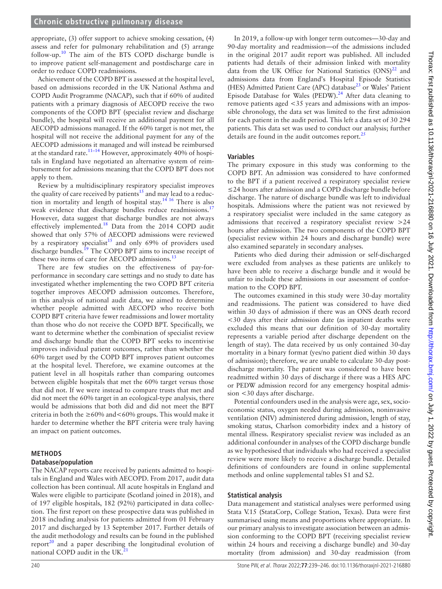#### **Chronic obstructive pulmonary disease**

appropriate, (3) offer support to achieve smoking cessation, (4) assess and refer for pulmonary rehabilitation and (5) arrange follow-up[.10](#page-7-0) The aim of the BTS COPD discharge bundle is to improve patient self-management and postdischarge care in order to reduce COPD readmissions.

Achievement of the COPD BPT is assessed at the hospital level, based on admissions recorded in the UK National Asthma and COPD Audit Programme (NACAP), such that if 60% of audited patients with a primary diagnosis of AECOPD receive the two components of the COPD BPT (specialist review and discharge bundle), the hospital will receive an additional payment for all AECOPD admissions managed. If the 60% target is not met, the hospital will not receive the additional payment for any of the AECOPD admissions it managed and will instead be reimbursed at the standard rate.<sup>11–14</sup> However, approximately 40% of hospitals in England have negotiated an alternative system of reimbursement for admissions meaning that the COPD BPT does not apply to them.

Review by a multidisciplinary respiratory specialist improves the quality of care received by patients<sup>15</sup> and may lead to a reduction in mortality and length of hospital stay.[14 16](#page-7-3) There is also weak evidence that discharge bundles reduce readmissions.<sup>[17](#page-7-4)</sup> However, data suggest that discharge bundles are not always effectively implemented.[18](#page-7-5) Data from the 2014 COPD audit showed that only 57% of AECOPD admissions were reviewed by a respiratory specialist<sup>15</sup> and only 69% of providers used discharge bundles.<sup>19</sup> The COPD BPT aims to increase receipt of these two items of care for AECOPD admissions.<sup>13</sup>

There are few studies on the effectiveness of pay-forperformance in secondary care settings and no study to date has investigated whether implementing the two COPD BPT criteria together improves AECOPD admission outcomes. Therefore, in this analysis of national audit data, we aimed to determine whether people admitted with AECOPD who receive both COPD BPT criteria have fewer readmissions and lower mortality than those who do not receive the COPD BPT. Specifically, we want to determine whether the combination of specialist review and discharge bundle that the COPD BPT seeks to incentivise improves individual patient outcomes, rather than whether the 60% target used by the COPD BPT improves patient outcomes at the hospital level. Therefore, we examine outcomes at the patient level in all hospitals rather than comparing outcomes between eligible hospitals that met the 60% target versus those that did not. If we were instead to compare trusts that met and did not meet the 60% target in an ecological-type analysis, there would be admissions that both did and did not meet the BPT criteria in both the  $\geq 60\%$  and  $\lt 60\%$  groups. This would make it harder to determine whether the BPT criteria were truly having an impact on patient outcomes.

# **METHODS**

# **Database/population**

The NACAP reports care received by patients admitted to hospitals in England and Wales with AECOPD. From 2017, audit data collection has been continual. All acute hospitals in England and Wales were eligible to participate (Scotland joined in 2018), and of 197 eligible hospitals, 182 (92%) participated in data collection. The first report on these prospective data was published in 2018 including analysis for patients admitted from 01 February 2017 and discharged by 13 September 2017. Further details of the audit methodology and results can be found in the published report<sup>20</sup> and a paper describing the longitudinal evolution of national COPD audit in the UK.<sup>21</sup>

In 2019, a follow-up with longer term outcomes—30-day and 90-day mortality and readmission—of the admissions included in the original 2017 audit report was published. All included patients had details of their admission linked with mortality data from the UK Office for National Statistics  $(ONS)^{22}$  and admissions data from England's Hospital Episode Statistics (HES) Admitted Patient Care (APC) database<sup>[23](#page-7-11)</sup> or Wales' Patient Episode Database for Wales (PEDW).<sup>[24](#page-7-12)</sup> After data cleaning to remove patients aged <35 years and admissions with an impossible chronology, the data set was limited to the first admission for each patient in the audit period. This left a data set of 30 294 patients. This data set was used to conduct our analysis; further details are found in the audit outcomes report. $^{25}$ 

#### **Variables**

The primary exposure in this study was conforming to the COPD BPT. An admission was considered to have conformed to the BPT if a patient received a respiratory specialist review ≤24 hours after admission and a COPD discharge bundle before discharge. The nature of discharge bundle was left to individual hospitals. Admissions where the patient was not reviewed by a respiratory specialist were included in the same category as admissions that received a respiratory specialist review >24 hours after admission. The two components of the COPD BPT (specialist review within 24 hours and discharge bundle) were also examined separately in secondary analyses.

Patients who died during their admission or self-discharged were excluded from analyses as these patients are unlikely to have been able to receive a discharge bundle and it would be unfair to include these admissions in our assessment of conformation to the COPD BPT.

The outcomes examined in this study were 30-day mortality and readmissions. The patient was considered to have died within 30 days of admission if there was an ONS death record <30 days after their admission date (as inpatient deaths were excluded this means that our definition of 30-day mortality represents a variable period after discharge dependent on the length of stay). The data received by us only contained 30-day mortality in a binary format (yes/no patient died within 30 days of admission); therefore, we are unable to calculate 30-day postdischarge mortality. The patient was considered to have been readmitted within 30 days of discharge if there was a HES APC or PEDW admission record for any emergency hospital admission <30 days after discharge.

Potential confounders used in the analysis were age, sex, socioeconomic status, oxygen needed during admission, noninvasive ventilation (NIV) administered during admission, length of stay, smoking status, Charlson comorbidity index and a history of mental illness. Respiratory specialist review was included as an additional confounder in analyses of the COPD discharge bundle as we hypothesised that individuals who had received a specialist review were more likely to receive a discharge bundle. Detailed definitions of confounders are found in [online supplemental](https://dx.doi.org/10.1136/thoraxjnl-2021-216880) [methods](https://dx.doi.org/10.1136/thoraxjnl-2021-216880) and [online supplemental tables S1 and S2.](https://dx.doi.org/10.1136/thoraxjnl-2021-216880)

#### **Statistical analysis**

Data management and statistical analyses were performed using Stata V.15 (StataCorp, College Station, Texas). Data were first summarised using means and proportions where appropriate. In our primary analysis to investigate association between an admission conforming to the COPD BPT (receiving specialist review within 24 hours and receiving a discharge bundle) and 30-day mortality (from admission) and 30-day readmission (from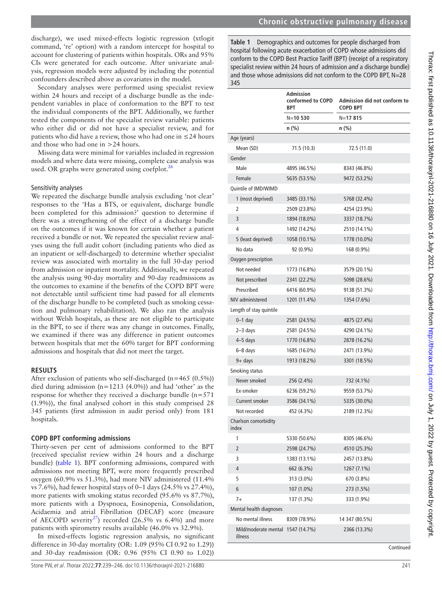discharge), we used mixed-effects logistic regression (xtlogit command, 're' option) with a random intercept for hospital to account for clustering of patients within hospitals. ORs and 95% CIs were generated for each outcome. After univariate analysis, regression models were adjusted by including the potential confounders described above as covariates in the model.

Secondary analyses were performed using specialist review within 24 hours and receipt of a discharge bundle as the independent variables in place of conformation to the BPT to test the individual components of the BPT. Additionally, we further tested the components of the specialist review variable: patients who either did or did not have a specialist review, and for patients who did have a review, those who had one in ≤24 hours and those who had one in >24 hours.

Missing data were minimal for variables included in regression models and where data were missing, complete case analysis was used. OR graphs were generated using coefplot. $^{26}$  $^{26}$  $^{26}$ 

#### Sensitivity analyses

We repeated the discharge bundle analysis excluding 'not clear' responses to the 'Has a BTS, or equivalent, discharge bundle been completed for this admission?' question to determine if there was a strengthening of the effect of a discharge bundle on the outcomes if it was known for certain whether a patient received a bundle or not. We repeated the specialist review analyses using the full audit cohort (including patients who died as an inpatient or self-discharged) to determine whether specialist review was associated with mortality in the full 30-day period from admission or inpatient mortality. Additionally, we repeated the analysis using 90-day mortality and 90-day readmissions as the outcomes to examine if the benefits of the COPD BPT were not detectable until sufficient time had passed for all elements of the discharge bundle to be completed (such as smoking cessation and pulmonary rehabilitation). We also ran the analysis without Welsh hospitals, as these are not eligible to participate in the BPT, to see if there was any change in outcomes. Finally, we examined if there was any difference in patient outcomes between hospitals that met the 60% target for BPT conforming admissions and hospitals that did not meet the target.

#### **RESULTS**

After exclusion of patients who self-discharged  $(n=465 (0.5\%))$ died during admission  $(n=1213 \ (4.0\%)$  and had 'other' as the response for whether they received a discharge bundle  $(n=571)$ (1.9%)), the final analysed cohort in this study comprised 28 345 patients (first admission in audit period only) from 181 hospitals.

#### **COPD BPT conforming admissions**

Thirty-seven per cent of admissions conformed to the BPT (received specialist review within 24 hours and a discharge bundle) ([table](#page-2-0) 1). BPT conforming admissions, compared with admissions not meeting BPT, were more frequently prescribed oxygen (60.9% vs 51.3%), had more NIV administered (11.4% vs 7.6%), had fewer hospital stays of 0–1 days (24.5% vs 27.4%), more patients with smoking status recorded (95.6% vs 87.7%), more patients with a Dyspnoea, Eosinopenia, Consolidation, Acidaemia and atrial Fibrillation (DECAF) score (measure of AECOPD severity<sup>27</sup>) recorded (26.5% vs 6.4%) and more patients with spirometry results available (46.0% vs 32.9%).

In mixed-effects logistic regression analysis, no significant difference in 30-day mortality (OR: 1.09 (95% CI 0.92 to 1.29)) and 30-day readmission (OR: 0.96 (95% CI 0.90 to 1.02)) <span id="page-2-0"></span>**Table 1** Demographics and outcomes for people discharged from hospital following acute exacerbation of COPD whose admissions did conform to the COPD Best Practice Tariff (BPT) (receipt of a respiratory specialist review within 24 hours of admission *and* a discharge bundle) and those whose admissions did not conform to the COPD BPT, N=28 345

|                                 | <b>Admission</b><br>conformed to COPD<br>BPT | Admission did not conform to<br><b>COPD BPT</b> |
|---------------------------------|----------------------------------------------|-------------------------------------------------|
|                                 | $N = 10530$                                  | $N = 17815$                                     |
|                                 | n (%)                                        | n (%)                                           |
| Age (years)                     |                                              |                                                 |
| Mean (SD)                       | 71.5 (10.3)                                  | 72.5 (11.0)                                     |
| Gender                          |                                              |                                                 |
| Male                            | 4895 (46.5%)                                 | 8343 (46.8%)                                    |
| Female                          | 5635 (53.5%)                                 | 9472 (53.2%)                                    |
| Quintile of IMD/WIMD            |                                              |                                                 |
| 1 (most deprived)               | 3485 (33.1%)                                 | 5768 (32.4%)                                    |
| 2                               | 2509 (23.8%)                                 | 4254 (23.9%)                                    |
| 3                               | 1894 (18.0%)                                 | 3337 (18.7%)                                    |
| 4                               | 1492 (14.2%)                                 | 2510 (14.1%)                                    |
| 5 (least deprived)              | 1058 (10.1%)                                 | 1778 (10.0%)                                    |
| No data                         | 92 (0.9%)                                    | 168 (0.9%)                                      |
| Oxygen prescription             |                                              |                                                 |
| Not needed                      | 1773 (16.8%)                                 | 3579 (20.1%)                                    |
| Not prescribed                  | 2341 (22.2%)                                 | 5098 (28.6%)                                    |
| Prescribed                      | 6416 (60.9%)                                 | 9138 (51.3%)                                    |
| NIV administered                | 1201 (11.4%)                                 | 1354 (7.6%)                                     |
| Length of stay quintile         |                                              |                                                 |
| $0-1$ day                       | 2581 (24.5%)                                 | 4875 (27.4%)                                    |
| $2-3$ days                      | 2581 (24.5%)                                 | 4290 (24.1%)                                    |
| $4-5$ days                      | 1770 (16.8%)                                 | 2878 (16.2%)                                    |
| 6-8 days                        | 1685 (16.0%)                                 | 2471 (13.9%)                                    |
| $9 + days$                      | 1913 (18.2%)                                 | 3301 (18.5%)                                    |
| Smoking status                  |                                              |                                                 |
| Never smoked                    | 256 (2.4%)                                   | 732 (4.1%)                                      |
| Ex-smoker                       | 6236 (59.2%)                                 | 9559 (53.7%)                                    |
| Current smoker                  | 3586 (34.1%)                                 | 5335 (30.0%)                                    |
| Not recorded                    | 452 (4.3%)                                   | 2189 (12.3%)                                    |
| Charlson comorbidity<br>index   |                                              |                                                 |
| 1                               | 5330 (50.6%)                                 | 8305 (46.6%)                                    |
| 2                               | 2598 (24.7%)                                 | 4510 (25.3%)                                    |
| 3                               | 1383 (13.1%)                                 | 2457 (13.8%)                                    |
| 4                               | 662 (6.3%)                                   | 1267 (7.1%)                                     |
| 5                               | 313 (3.0%)                                   | 670 (3.8%)                                      |
| 6                               | 107 (1.0%)                                   | 273 (1.5%)                                      |
| $7+$                            | 137 (1.3%)                                   | 333 (1.9%)                                      |
| Mental health diagnoses         |                                              |                                                 |
| No mental illness               | 8309 (78.9%)                                 | 14 347 (80.5%)                                  |
| Mild/moderate mental<br>illness | 1547 (14.7%)                                 | 2366 (13.3%)                                    |

Continued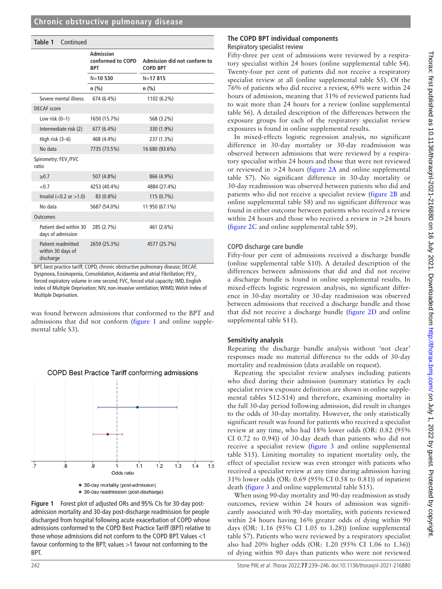| Table 1<br>Continued                                 |                                              |                                                 |
|------------------------------------------------------|----------------------------------------------|-------------------------------------------------|
|                                                      | Admission<br>conformed to COPD<br><b>BPT</b> | Admission did not conform to<br><b>COPD BPT</b> |
|                                                      | $N = 10530$                                  | $N = 17815$                                     |
|                                                      | $n$ (%)                                      | n(%)                                            |
| Severe mental illness                                | 674 (6.4%)                                   | 1102 (6.2%)                                     |
| <b>DECAF</b> score                                   |                                              |                                                 |
| Low risk $(0-1)$                                     | 1650 (15.7%)                                 | 568 (3.2%)                                      |
| Intermediate risk (2)                                | 677 (6.4%)                                   | 330 (1.9%)                                      |
| High risk (3-6)                                      | 468 (4.4%)                                   | 237 (1.3%)                                      |
| No data                                              | 7735 (73.5%)                                 | 16 680 (93.6%)                                  |
| Spirometry: FEV,/FVC<br>ratio                        |                                              |                                                 |
| $\geq 0.7$                                           | 507 (4.8%)                                   | 866 (4.9%)                                      |
| < 0.7                                                | 4253 (40.4%)                                 | 4884 (27.4%)                                    |
| Invalid $(<0.2$ or $>1.0$ )                          | 83 (0.8%)                                    | $115(0.7\%)$                                    |
| No data                                              | 5687 (54.0%)                                 | 11 950 (67.1%)                                  |
| <b>Outcomes</b>                                      |                                              |                                                 |
| Patient died within 30<br>days of admission          | 285 (2.7%)                                   | 461 (2.6%)                                      |
| Patient readmitted<br>within 30 days of<br>discharge | 2659 (25.3%)                                 | 4577 (25.7%)                                    |

BPT, best practice tariff; COPD, chronic obstructive pulmonary disease; DECAF, Dyspnoea, Eosinopenia, Consolidation, Acidaemia and atrial Fibrillation; FEV<sub>1</sub>, forced expiratory volume in one second; FVC, forced vital capacity; IMD, English Index of Multiple Deprivation; NIV, non-invasive ventilation; WIMD, Welsh Index of Multiple Deprivation.

was found between admissions that conformed to the BPT and admissions that did not conform [\(figure](#page-3-0) 1 and [online supple](https://dx.doi.org/10.1136/thoraxjnl-2021-216880)[mental table S3](https://dx.doi.org/10.1136/thoraxjnl-2021-216880)).



#### <span id="page-3-0"></span>**Figure 1** Forest plot of adjusted ORs and 95% CIs for 30-day postadmission mortality and 30-day post-discharge readmission for people discharged from hospital following acute exacerbation of COPD whose admissions conformed to the COPD Best Practice Tariff (BPT) relative to those whose admissions did not conform to the COPD BPT. Values <1 favour conforming to the BPT; values >1 favour not conforming to the BPT.

#### **The COPD BPT individual components** Respiratory specialist review

Fifty-three per cent of admissions were reviewed by a respiratory specialist within 24 hours ([online supplemental table S4\)](https://dx.doi.org/10.1136/thoraxjnl-2021-216880). Twenty-four per cent of patients did not receive a respiratory specialist review at all ([online supplemental table S5](https://dx.doi.org/10.1136/thoraxjnl-2021-216880)). Of the 76% of patients who did receive a review, 69% were within 24 hours of admission, meaning that 31% of reviewed patients had to wait more than 24 hours for a review ([online supplemental](https://dx.doi.org/10.1136/thoraxjnl-2021-216880) [table S6\)](https://dx.doi.org/10.1136/thoraxjnl-2021-216880). A detailed description of the differences between the exposure groups for each of the respiratory specialist review exposures is found in [online supplemental results](https://dx.doi.org/10.1136/thoraxjnl-2021-216880).

In mixed-effects logistic regression analysis, no significant difference in 30-day mortality or 30-day readmission was observed between admissions that were reviewed by a respiratory specialist within 24 hours and those that were not reviewed or reviewed in >24 hours ([figure](#page-4-0) 2A and [online supplemental](https://dx.doi.org/10.1136/thoraxjnl-2021-216880) [table S7](https://dx.doi.org/10.1136/thoraxjnl-2021-216880)). No significant difference in 30-day mortality or 30-day readmission was observed between patients who did and patients who did not receive a specialist review [\(figure](#page-4-0) 2B and [online supplemental table S8\)](https://dx.doi.org/10.1136/thoraxjnl-2021-216880) and no significant difference was found in either outcome between patients who received a review within 24 hours and those who received a review in >24 hours ([figure](#page-4-0) 2C and [online supplemental table S9](https://dx.doi.org/10.1136/thoraxjnl-2021-216880)).

# COPD discharge care bundle

Fifty-four per cent of admissions received a discharge bundle ([online supplemental table S10](https://dx.doi.org/10.1136/thoraxjnl-2021-216880)). A detailed description of the differences between admissions that did and did not receive a discharge bundle is found in [online supplemental results](https://dx.doi.org/10.1136/thoraxjnl-2021-216880). In mixed-effects logistic regression analysis, no significant difference in 30-day mortality or 30-day readmission was observed between admissions that received a discharge bundle and those that did not receive a discharge bundle [\(figure](#page-4-0) 2D and [online](https://dx.doi.org/10.1136/thoraxjnl-2021-216880) [supplemental table S11\)](https://dx.doi.org/10.1136/thoraxjnl-2021-216880).

# **Sensitivity analysis**

Repeating the discharge bundle analysis without 'not clear' responses made no material difference to the odds of 30-day mortality and readmission (data available on request).

Repeating the specialist review analyses including patients who died during their admission (summary statistics by each specialist review exposure definition are shown in [online supple](https://dx.doi.org/10.1136/thoraxjnl-2021-216880)[mental tables S12-S14\)](https://dx.doi.org/10.1136/thoraxjnl-2021-216880) and therefore, examining mortality in the full 30-day period following admission, did result in changes to the odds of 30-day mortality. However, the only statistically significant result was found for patients who received a specialist review at any time, who had 18% lower odds (OR: 0.82 (95% CI 0.72 to 0.94)) of 30-day death than patients who did not receive a specialist review [\(figure](#page-4-1) 3 and [online supplemental](https://dx.doi.org/10.1136/thoraxjnl-2021-216880) [table S15\)](https://dx.doi.org/10.1136/thoraxjnl-2021-216880). Limiting mortality to inpatient mortality only, the effect of specialist review was even stronger with patients who received a specialist review at any time during admission having 31% lower odds (OR: 0.69 (95% CI 0.58 to 0.81)) of inpatient death ([figure](#page-4-1) 3 and [online supplemental table S15\)](https://dx.doi.org/10.1136/thoraxjnl-2021-216880).

When using 90-day mortality and 90-day readmission as study outcomes, review within 24 hours of admission was significantly associated with 90-day mortality, with patients reviewed within 24 hours having 16% greater odds of dying within 90 days (OR: 1.16 (95% CI 1.05 to 1.28)) [\(online supplemental](https://dx.doi.org/10.1136/thoraxjnl-2021-216880) [table S7](https://dx.doi.org/10.1136/thoraxjnl-2021-216880)). Patients who were reviewed by a respiratory specialist also had 20% higher odds (OR: 1.20 (95% CI 1.06 to 1.36)) of dying within 90 days than patients who were not reviewed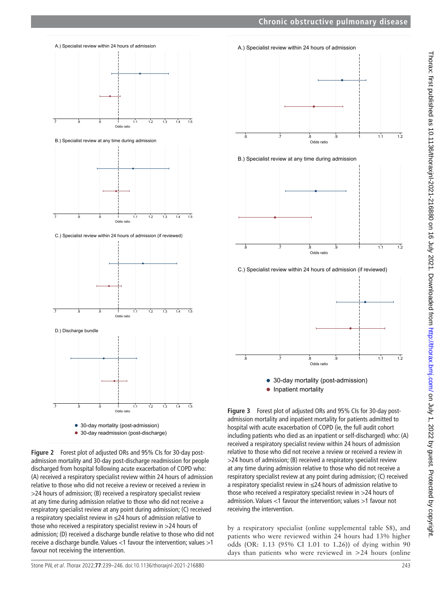

<span id="page-4-0"></span>**Figure 2** Forest plot of adjusted ORs and 95% CIs for 30-day postadmission mortality and 30-day post-discharge readmission for people discharged from hospital following acute exacerbation of COPD who: (A) received a respiratory specialist review within 24 hours of admission relative to those who did not receive a review or received a review in >24 hours of admission; (B) received a respiratory specialist review at any time during admission relative to those who did not receive a respiratory specialist review at any point during admission; (C) received a respiratory specialist review in ≤24 hours of admission relative to those who received a respiratory specialist review in >24 hours of admission; (D) received a discharge bundle relative to those who did not receive a discharge bundle. Values <1 favour the intervention; values >1 favour not receiving the intervention.



• Inpatient mortality

<span id="page-4-1"></span>**Figure 3** Forest plot of adjusted ORs and 95% CIs for 30-day postadmission mortality and inpatient mortality for patients admitted to hospital with acute exacerbation of COPD (ie, the full audit cohort including patients who died as an inpatient or self-discharged) who: (A) received a respiratory specialist review within 24 hours of admission relative to those who did not receive a review or received a review in >24 hours of admission; (B) received a respiratory specialist review at any time during admission relative to those who did not receive a respiratory specialist review at any point during admission; (C) received a respiratory specialist review in ≤24 hours of admission relative to those who received a respiratory specialist review in >24 hours of admission. Values <1 favour the intervention; values >1 favour not receiving the intervention.

by a respiratory specialist ([online supplemental table S8\)](https://dx.doi.org/10.1136/thoraxjnl-2021-216880), and patients who were reviewed within 24 hours had 13% higher odds (OR: 1.13 (95% CI 1.01 to 1.26)) of dying within 90 days than patients who were reviewed in >24 hours [\(online](https://dx.doi.org/10.1136/thoraxjnl-2021-216880)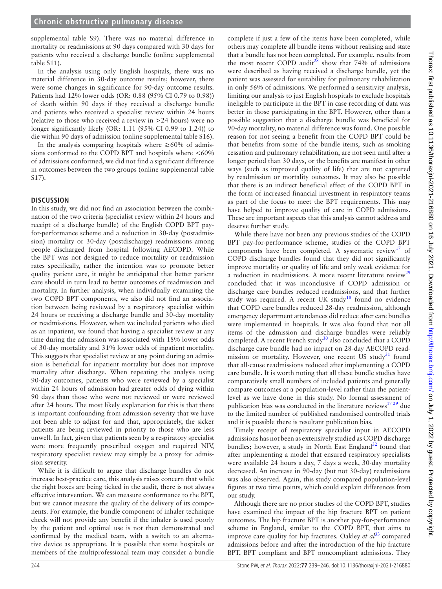[supplemental table S9\)](https://dx.doi.org/10.1136/thoraxjnl-2021-216880). There was no material difference in mortality or readmissions at 90 days compared with 30 days for patients who received a discharge bundle ([online supplemental](https://dx.doi.org/10.1136/thoraxjnl-2021-216880)  [table S11\)](https://dx.doi.org/10.1136/thoraxjnl-2021-216880).

In the analysis using only English hospitals, there was no material difference in 30-day outcome results; however, there were some changes in significance for 90-day outcome results. Patients had 12% lower odds (OR: 0.88 (95% CI 0.79 to 0.98)) of death within 90 days if they received a discharge bundle and patients who received a specialist review within 24 hours (relative to those who received a review in >24 hours) were no longer significantly likely (OR: 1.11 (95% CI 0.99 to 1.24)) to die within 90 days of admission ([online supplemental table S16](https://dx.doi.org/10.1136/thoraxjnl-2021-216880)).

In the analysis comparing hospitals where  $\geq 60\%$  of admissions conformed to the COPD BPT and hospitals where  $<60\%$ of admissions conformed, we did not find a significant difference in outcomes between the two groups ([online supplemental table](https://dx.doi.org/10.1136/thoraxjnl-2021-216880)  [S17\)](https://dx.doi.org/10.1136/thoraxjnl-2021-216880).

# **DISCUSSION**

In this study, we did not find an association between the combination of the two criteria (specialist review within 24 hours and receipt of a discharge bundle) of the English COPD BPT payfor-performance scheme and a reduction in 30-day (postadmission) mortality or 30-day (postdischarge) readmissions among people discharged from hospital following AECOPD. While the BPT was not designed to reduce mortality or readmission rates specifically, rather the intention was to promote better quality patient care, it might be anticipated that better patient care should in turn lead to better outcomes of readmission and mortality. In further analysis, when individually examining the two COPD BPT components, we also did not find an association between being reviewed by a respiratory specialist within 24 hours or receiving a discharge bundle and 30-day mortality or readmissions. However, when we included patients who died as an inpatient, we found that having a specialist review at any time during the admission was associated with 18% lower odds of 30-day mortality and 31% lower odds of inpatient mortality. This suggests that specialist review at any point during an admission is beneficial for inpatient mortality but does not improve mortality after discharge. When repeating the analysis using 90-day outcomes, patients who were reviewed by a specialist within 24 hours of admission had greater odds of dying within 90 days than those who were not reviewed or were reviewed after 24 hours. The most likely explanation for this is that there is important confounding from admission severity that we have not been able to adjust for and that, appropriately, the sicker patients are being reviewed in priority to those who are less unwell. In fact, given that patients seen by a respiratory specialist were more frequently prescribed oxygen and required NIV, respiratory specialist review may simply be a proxy for admission severity.

While it is difficult to argue that discharge bundles do not increase best-practice care, this analysis raises concern that while the right boxes are being ticked in the audit, there is not always effective intervention. We can measure conformance to the BPT, but we cannot measure the quality of the delivery of its components. For example, the bundle component of inhaler technique check will not provide any benefit if the inhaler is used poorly by the patient and optimal use is not then demonstrated and confirmed by the medical team, with a switch to an alternative device as appropriate. It is possible that some hospitals or members of the multiprofessional team may consider a bundle

complete if just a few of the items have been completed, while others may complete all bundle items without realising and state that a bundle has not been completed. For example, results from the most recent COPD audit<sup>28</sup> show that 74% of admissions were described as having received a discharge bundle, yet the patient was assessed for suitability for pulmonary rehabilitation in only 56% of admissions. We performed a sensitivity analysis, limiting our analysis to just English hospitals to exclude hospitals ineligible to participate in the BPT in case recording of data was better in those participating in the BPT. However, other than a possible suggestion that a discharge bundle was beneficial for 90-day mortality, no material difference was found. One possible reason for not seeing a benefit from the COPD BPT could be that benefits from some of the bundle items, such as smoking cessation and pulmonary rehabilitation, are not seen until after a longer period than 30 days, or the benefits are manifest in other ways (such as improved quality of life) that are not captured by readmission or mortality outcomes. It may also be possible that there is an indirect beneficial effect of the COPD BPT in the form of increased financial investment in respiratory teams as part of the focus to meet the BPT requirements. This may have helped to improve quality of care in COPD admissions. These are important aspects that this analysis cannot address and deserve further study.

While there have not been any previous studies of the COPD BPT pay-for-performance scheme, studies of the COPD BPT components have been completed. A systematic review<sup>[17](#page-7-4)</sup> of COPD discharge bundles found that they did not significantly improve mortality or quality of life and only weak evidence for a reduction in readmissions. A more recent literature review<sup>[29](#page-7-17)</sup> concluded that it was inconclusive if COPD admission or discharge care bundles reduced readmissions, and that further study was required. A recent UK study<sup>[18](#page-7-5)</sup> found no evidence that COPD care bundles reduced 28-day readmission, although emergency department attendances did reduce after care bundles were implemented in hospitals. It was also found that not all items of the admission and discharge bundles were reliably completed. A recent French study $30$  also concluded that a COPD discharge care bundle had no impact on 28-day AECOPD readmission or mortality. However, one recent US study<sup>31</sup> found that all-cause readmissions reduced after implementing a COPD care bundle. It is worth noting that all these bundle studies have comparatively small numbers of included patients and generally compare outcomes at a population-level rather than the patientlevel as we have done in this study. No formal assessment of publication bias was conducted in the literature reviews $1729$  due to the limited number of published randomised controlled trials and it is possible there is resultant publication bias.

Timely receipt of respiratory specialist input in AECOPD admissions has not been as extensively studied as COPD discharge bundles; however, a study in North East England $32$  found that after implementing a model that ensured respiratory specialists were available 24 hours a day, 7 days a week, 30-day mortality decreased. An increase in 90-day (but not 30-day) readmissions was also observed. Again, this study compared population-level figures at two time points, which could explain differences from our study.

Although there are no prior studies of the COPD BPT, studies have examined the impact of the hip fracture BPT on patient outcomes. The hip fracture BPT is another pay-for-performance scheme in England, similar to the COPD BPT, that aims to improve care quality for hip fractures. Oakley *et al*<sup>[33](#page-7-21)</sup> compared admissions before and after the introduction of the hip fracture BPT, BPT compliant and BPT noncompliant admissions. They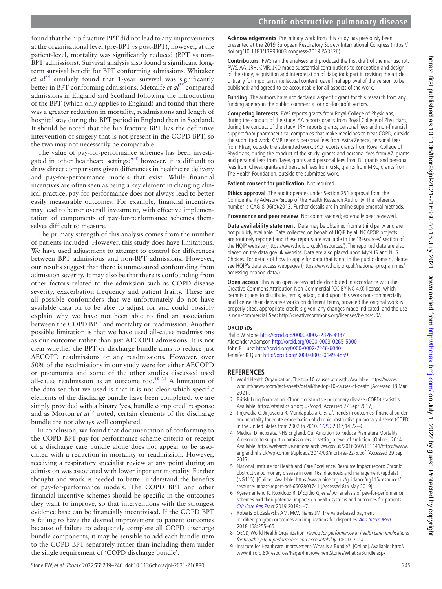found that the hip fracture BPT did not lead to any improvements at the organisational level (pre-BPT vs post-BPT), however, at the patient-level, mortality was significantly reduced (BPT vs non-BPT admissions). Survival analysis also found a significant longterm survival benefit for BPT conforming admissions. Whitaker  $et \text{ } a l^{34}$  similarly found that 1-year survival was significantly better in BPT conforming admissions. Metcalfe *et al*[35](#page-7-23) compared admissions in England and Scotland following the introduction of the BPT (which only applies to England) and found that there was a greater reduction in mortality, readmissions and length of hospital stay during the BPT period in England than in Scotland. It should be noted that the hip fracture BPT has the definitive intervention of surgery that is not present in the COPD BPT, so the two may not necessarily be comparable.

The value of pay-for-performance schemes has been investigated in other healthcare settings; $6-8$  however, it is difficult to draw direct comparisons given differences in healthcare delivery and pay-for-performance models that exist. While financial incentives are often seen as being a key element in changing clinical practice, pay-for-performance does not always lead to better easily measurable outcomes. For example, financial incentives may lead to better overall investment, with effective implementation of components of pay-for-performance schemes themselves difficult to measure.

The primary strength of this analysis comes from the number of patients included. However, this study does have limitations. We have used adjustment to attempt to control for differences between BPT admissions and non-BPT admissions. However, our results suggest that there is unmeasured confounding from admission severity. It may also be that there is confounding from other factors related to the admission such as COPD disease severity, exacerbation frequency and patient frailty. These are all possible confounders that we unfortunately do not have available data on to be able to adjust for and could possibly explain why we have not been able to find an association between the COPD BPT and mortality or readmission. Another possible limitation is that we have used all-cause readmissions as our outcome rather than just AECOPD admissions. It is not clear whether the BPT or discharge bundle aims to reduce just AECOPD readmissions or any readmissions. However, over 50% of the readmissions in our study were for either AECOPD or pneumonia and some of the other studies discussed used all-cause readmission as an outcome too.<sup>[18 31](#page-7-5)</sup> A limitation of the data set that we used is that it is not clear which specific elements of the discharge bundle have been completed, we are simply provided with a binary 'yes, bundle completed' response and as Morton *et al*<sup>18</sup> noted, certain elements of the discharge bundle are not always well completed.

In conclusion, we found that documentation of conforming to the COPD BPT pay-for-performance scheme criteria or receipt of a discharge care bundle alone does not appear to be associated with a reduction in mortality or readmission. However, receiving a respiratory specialist review at any point during an admission was associated with lower inpatient mortality. Further thought and work is needed to better understand the benefits of pay-for-performance models. The COPD BPT and other financial incentive schemes should be specific in the outcomes they want to improve, so that interventions with the strongest evidence base can be financially incentivised. If the COPD BPT is failing to have the desired improvement to patient outcomes because of failure to adequately complete all COPD discharge bundle components, it may be sensible to add each bundle item to the COPD BPT separately rather than including them under the single requirement of 'COPD discharge bundle'.

**Acknowledgements** Preliminary work from this study has previously been presented at the 2019 European Respiratory Society International Congress [\(https://](https://doi.org/10.1183/13993003.congress-2019.PA3326) [doi.org/10.1183/13993003.congress-2019.PA3326\)](https://doi.org/10.1183/13993003.congress-2019.PA3326).

**Contributors** PWS ran the analyses and produced the first draft of the manuscript. PWS, AA, JRH, CMR, JKQ made substantial contributions to conception and design of the study, acquisition and interpretation of data; took part in revising the article critically for important intellectual content; gave final approval of the version to be published; and agreed to be accountable for all aspects of the work.

**Funding** The authors have not declared a specific grant for this research from any funding agency in the public, commercial or not-for-profit sectors.

**Competing interests** PWS reports grants from Royal College of Physicians, during the conduct of the study. AA reports grants from Royal College of Physicians, during the conduct of the study. JRH reports grants, personal fees and non-financial support from pharmaceutical companies that make medicines to treat COPD, outside the submitted work. CMR reports personal fees from Astra Zeneca, personal fees from Pfizer, outside the submitted work. JKQ reports grants from Royal College of Physicians, during the conduct of the study; grants and personal fees from AZ, grants and personal fees from Bayer, grants and personal fees from BI, grants and personal fees from Chiesi, grants and personal fees from GSK, grants from MRC, grants from The Health Foundation, outside the submitted work.

**Patient consent for publication** Not required.

**Ethics approval** The audit operates under Section 251 approval from the Confidentiality Advisory Group of the Health Research Authority. The reference number is CAG-8-06(b)/2013. Further details are in online supplemental methods.

**Provenance and peer review** Not commissioned; externally peer reviewed.

**Data availability statement** Data may be obtained from a third party and are not publicly available. Data collected on behalf of HQIP by all NCAPOP projects are routinely reported and these reports are available in the 'Resources' section of the HQIP website ([https://www.hqip.org.uk/resources/\)](https://www.hqip.org.uk/resources/). The reported data are also placed on the data.gov.uk website. Data are also placed upon MyNHS and NHS Choices. For details of how to apply for data that is not in the public domain, please see HQIP's data access webpages ([https://www.hqip.org.uk/national-programmes/](https://www.hqip.org.uk/national-programmes/accessing-ncapop-data/) [accessing-ncapop-data/](https://www.hqip.org.uk/national-programmes/accessing-ncapop-data/)).

**Open access** This is an open access article distributed in accordance with the Creative Commons Attribution Non Commercial (CC BY-NC 4.0) license, which permits others to distribute, remix, adapt, build upon this work non-commercially, and license their derivative works on different terms, provided the original work is properly cited, appropriate credit is given, any changes made indicated, and the use is non-commercial. See: [http://creativecommons.org/licenses/by-nc/4.0/.](http://creativecommons.org/licenses/by-nc/4.0/)

#### **ORCID iDs**

Philip W Stone <http://orcid.org/0000-0002-2326-4987> Alexander Adamson <http://orcid.org/0000-0003-0265-5900> John R Hurst<http://orcid.org/0000-0002-7246-6040> Jennifer K Quint <http://orcid.org/0000-0003-0149-4869>

#### **REFERENCES**

- <span id="page-6-0"></span>1 World Health Organisation. The top 10 causes of death. Available: [https://www.](https://www.who.int/news-room/fact-sheets/detail/the-top-10-causes-of-death) [who.int/news-room/fact-sheets/detail/the-top-10-causes-of-death](https://www.who.int/news-room/fact-sheets/detail/the-top-10-causes-of-death) [Accessed 18 Mar 2021].
- <span id="page-6-1"></span>2 British Lung Foundation. Chronic obstructive pulmonary disease (COPD) statistics. Available:<https://statistics.blf.org.uk/copd>[Accessed 27 Sept 2017].
- <span id="page-6-2"></span>3 Jinjuvadia C, Jinjuvadia R, Mandapakala C, et al. Trends in outcomes, financial burden, and mortality for acute exacerbation of chronic obstructive pulmonary disease (COPD) in the United States from 2002 to 2010. [COPD](http://dx.doi.org/10.1080/15412555.2016.1199669) 2017;14:72–9.
- <span id="page-6-3"></span>4 Medical Directorate, NHS England. Our Ambition to Reduce Premature Mortality: A resource to support commissioners in setting a level of ambition. [Online], 2014. Available: [http://webarchive.nationalarchives.gov.uk/20160605131141/https://www.](http://webarchive.nationalarchives.gov.uk/20160605131141/https://www.england.nhs.uk/wp-content/uploads/2014/03/mort-res-22-5.pdf) [england.nhs.uk/wp-content/uploads/2014/03/mort-res-22-5.pdf](http://webarchive.nationalarchives.gov.uk/20160605131141/https://www.england.nhs.uk/wp-content/uploads/2014/03/mort-res-22-5.pdf) [Accessed 29 Sep 2017].
- <span id="page-6-4"></span>5 National Institute for Health and Care Excellence. Resource impact report: Chronic obstructive pulmonary disease in over 16s: diagnosis and management (update) (NG115). [Online]. Available: [https://www.nice.org.uk/guidance/ng115/resources/](https://www.nice.org.uk/guidance/ng115/resources/resource-impact-report-pdf-6602803741) [resource-impact-report-pdf-6602803741](https://www.nice.org.uk/guidance/ng115/resources/resource-impact-report-pdf-6602803741) [Accessed 8th May 2019].
- <span id="page-6-5"></span>6 Kyeremanteng K, Robidoux R, D'Egidio G, et al. An analysis of pay-for-performance schemes and their potential impacts on health systems and outcomes for patients. [Crit Care Res Pract](http://dx.doi.org/10.1155/2019/8943972) 2019;2019:1–7.
- 7 Roberts ET, Zaslavsky AM, McWilliams JM. The value-based payment modifier: program outcomes and implications for disparities. [Ann Intern Med](http://dx.doi.org/10.7326/M17-1740) 2018;168:255–65.
- 8 OECD, World Health Organization. Paying for performance in health care: implications for health system performance and accountability. OECD, 2014.
- <span id="page-6-6"></span>9 Institute for Healthcare Improvement. What Is a Bundle?. [Online]. Available: [http://](http://www.ihi.org:80/resources/Pages/ImprovementStories/WhatIsaBundle.aspx) [www.ihi.org:80/resources/Pages/ImprovementStories/WhatIsaBundle.aspx](http://www.ihi.org:80/resources/Pages/ImprovementStories/WhatIsaBundle.aspx)